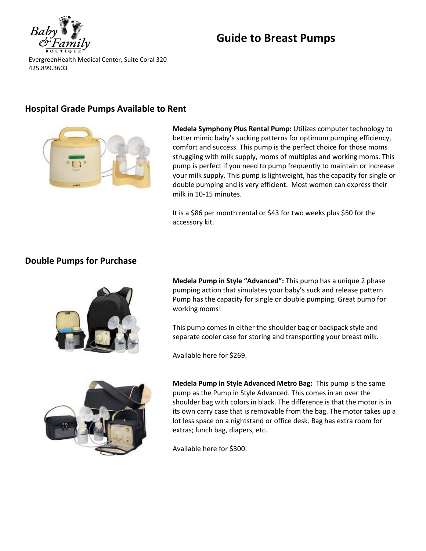

# **Guide to Breast Pumps**

EvergreenHealth Medical Center, Suite Coral 320 425.899.3603

## **Hospital Grade Pumps Available to Rent**



**Medela Symphony Plus Rental Pump:** Utilizes computer technology to better mimic baby's sucking patterns for optimum pumping efficiency, comfort and success. This pump is the perfect choice for those moms struggling with milk supply, moms of multiples and working moms. This pump is perfect if you need to pump frequently to maintain or increase your milk supply. This pump is lightweight, has the capacity for single or double pumping and is very efficient. Most women can express their milk in 10-15 minutes.

It is a \$86 per month rental or \$43 for two weeks plus \$50 for the accessory kit.

### **Double Pumps for Purchase**



**Medela Pump in Style "Advanced":** This pump has a unique 2 phase pumping action that simulates your baby's suck and release pattern. Pump has the capacity for single or double pumping. Great pump for working moms!

This pump comes in either the shoulder bag or backpack style and separate cooler case for storing and transporting your breast milk.

Available here for \$269.



**Medela Pump in Style Advanced Metro Bag:** This pump is the same pump as the Pump in Style Advanced. This comes in an over the shoulder bag with colors in black. The difference is that the motor is in its own carry case that is removable from the bag. The motor takes up a lot less space on a nightstand or office desk. Bag has extra room for extras; lunch bag, diapers, etc.

Available here for \$300.